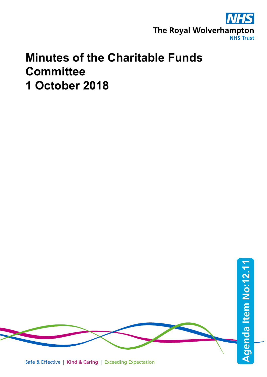

## **Minutes of the Charitable Funds Committee 1 October 2018**

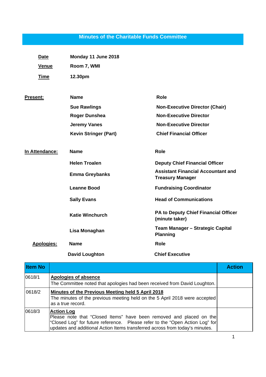## **Minutes of the Charitable Funds Committee**

| <b>Date</b>       | Monday 11 June 2018          |                                                                      |
|-------------------|------------------------------|----------------------------------------------------------------------|
| <b>Venue</b>      | Room 7, WMI                  |                                                                      |
| <b>Time</b>       | 12.30pm                      |                                                                      |
| <b>Present:</b>   | <b>Name</b>                  | <b>Role</b>                                                          |
|                   | <b>Sue Rawlings</b>          | <b>Non-Executive Director (Chair)</b>                                |
|                   | <b>Roger Dunshea</b>         | <b>Non-Executive Director</b>                                        |
|                   | <b>Jeremy Vanes</b>          | <b>Non-Executive Director</b>                                        |
|                   | <b>Kevin Stringer (Part)</b> | <b>Chief Financial Officer</b>                                       |
| In Attendance:    | <b>Name</b>                  | Role                                                                 |
|                   | <b>Helen Troalen</b>         | <b>Deputy Chief Financial Officer</b>                                |
|                   | <b>Emma Greybanks</b>        | <b>Assistant Financial Accountant and</b><br><b>Treasury Manager</b> |
|                   | <b>Leanne Bood</b>           | <b>Fundraising Coordinator</b>                                       |
|                   | <b>Sally Evans</b>           | <b>Head of Communications</b>                                        |
|                   | <b>Katie Winchurch</b>       | PA to Deputy Chief Financial Officer<br>(minute taker)               |
|                   | Lisa Monaghan                | Team Manager - Strategic Capital<br><b>Planning</b>                  |
| <b>Apologies:</b> | <b>Name</b>                  | <b>Role</b>                                                          |
|                   | <b>David Loughton</b>        | <b>Chief Executive</b>                                               |

| <b>Item No</b> |                                                                                                                                                                                                                                                           | <b>Action</b> |
|----------------|-----------------------------------------------------------------------------------------------------------------------------------------------------------------------------------------------------------------------------------------------------------|---------------|
| 0618/1         | Apologies of absence<br>The Committee noted that apologies had been received from David Loughton.                                                                                                                                                         |               |
| 0618/2         | Minutes of the Previous Meeting held 5 April 2018<br>The minutes of the previous meeting held on the 5 April 2018 were accepted<br>as a true record.                                                                                                      |               |
| 0618/3         | <b>Action Log</b><br>Please note that "Closed Items" have been removed and placed on the<br>"Closed Log" for future reference.  Please refer to the "Open Action Log" for<br>updates and additional Action Items transferred across from today's minutes. |               |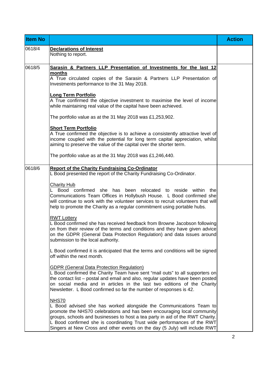| <b>Item No</b> |                                                                                                                                                                                                                                                                                                                                                                                                         | <b>Action</b> |
|----------------|---------------------------------------------------------------------------------------------------------------------------------------------------------------------------------------------------------------------------------------------------------------------------------------------------------------------------------------------------------------------------------------------------------|---------------|
| 0618/4         | <b>Declarations of Interest</b><br>Nothing to report.                                                                                                                                                                                                                                                                                                                                                   |               |
| 0618/5         | Sarasin & Partners LLP Presentation of Investments for the last 12<br>months                                                                                                                                                                                                                                                                                                                            |               |
|                | A True circulated copies of the Sarasin & Partners LLP Presentation of<br>Investments performance to the 31 May 2018.                                                                                                                                                                                                                                                                                   |               |
|                | <b>Long Term Portfolio</b><br>A True confirmed the objective investment to maximise the level of income<br>while maintaining real value of the capital have been achieved.                                                                                                                                                                                                                              |               |
|                | The portfolio value as at the 31 May 2018 was £1,253,902.                                                                                                                                                                                                                                                                                                                                               |               |
|                | <b>Short Term Portfolio</b><br>A True confirmed the objective is to achieve a consistently attractive level of<br>income coupled with the potential for long term capital appreciation, whilst<br>aiming to preserve the value of the capital over the shorter term.                                                                                                                                    |               |
|                | The portfolio value as at the 31 May 2018 was £1,246,440.                                                                                                                                                                                                                                                                                                                                               |               |
| 0618/6         | <b>Report of the Charity Fundraising Co-Ordinator</b><br>L Bood presented the report of the Charity Fundraising Co-Ordinator.                                                                                                                                                                                                                                                                           |               |
|                | <b>Charity Hub</b><br>Bood confirmed<br>has<br>been relocated to reside within<br>she<br>the<br>Communications Team Offices in Hollybush House. L Bood confirmed she<br>will continue to work with the volunteer services to recruit volunteers that will<br>help to promote the Charity as a regular commitment using portable hubs.                                                                   |               |
|                | <b>RWT Lottery</b><br>L Bood confirmed she has received feedback from Browne Jacobson following<br>on from their review of the terms and conditions and they have given advice<br>on the GDPR (General Data Protection Regulation) and data issues around<br>submission to the local authority.                                                                                                         |               |
|                | L Bood confirmed it is anticipated that the terms and conditions will be signed<br>off within the next month.                                                                                                                                                                                                                                                                                           |               |
|                | <b>GDPR (General Data Protection Regulation)</b><br>L Bood confirmed the Charity Team have sent "mail outs" to all supporters on<br>the contact list - postal and email and also, regular updates have been posted<br>on social media and in articles in the last two editions of the Charity<br>Newsletter. L Bood confirmed so far the number of responses is 42.                                     |               |
|                | <b>NHS70</b><br>L Bood advised she has worked alongside the Communications Team to<br>promote the NHS70 celebrations and has been encouraging local community<br>groups, schools and businesses to host a tea party in aid of the RWT Charity.<br>L Bood confirmed she is coordinating Trust wide performances of the RWT<br>Singers at New Cross and other events on the day (5 July) will include RWT |               |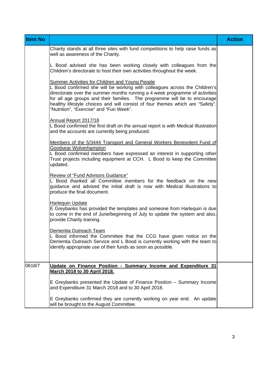| <b>Item No</b> |                                                                                                                                                                                                                                                                                                                                                                                                                              | <b>Action</b> |
|----------------|------------------------------------------------------------------------------------------------------------------------------------------------------------------------------------------------------------------------------------------------------------------------------------------------------------------------------------------------------------------------------------------------------------------------------|---------------|
|                | Charity stands at all three sites with fund competitions to help raise funds as<br>well as awareness of the Charity.                                                                                                                                                                                                                                                                                                         |               |
|                | L Bood advised she has been working closely with colleagues from the<br>Children's directorate to host their own activities throughout the week.                                                                                                                                                                                                                                                                             |               |
|                | <b>Summer Activities for Children and Young People</b><br>L Bood confirmed she will be working with colleagues across the Children's<br>directorate over the summer months running a 4 week programme of activities<br>for all age groups and their families. The programme will be to encourage<br>healthy lifestyle choices and will consist of four themes which are "Safety",<br>"Nutrition", "Exercise" and "Fun Week". |               |
|                | Annual Report 2017/18<br>L Bood confirmed the first draft on the annual report is with Medical Illustration<br>and the accounts are currently being produced.                                                                                                                                                                                                                                                                |               |
|                | Members of the 5/3444 Transport and General Workers Benevolent Fund of<br>Goodyear Wolverhampton<br>L Bood confirmed members have expressed an interest in supporting other<br>Trust projects including equipment at CCH. L Bood to keep the Committee<br>updated.                                                                                                                                                           |               |
|                | Review of "Fund Advisors Guidance"<br>L Bood thanked all Committee members for the feedback on the new<br>guidance and advised the initial draft is now with Medical Illustrations to<br>produce the final document.                                                                                                                                                                                                         |               |
|                | Harlequin Update<br>E Greybanks has provided the templates and someone from Harlequin is due<br>to come in the end of June/beginning of July to update the system and also,<br>provide Charity training.                                                                                                                                                                                                                     |               |
|                | Dementia Outreach Team<br>L Bood informed the Committee that the CCG have given notice on the<br>Dementia Outreach Service and L Bood is currently working with the team to<br>identify appropriate use of their funds as soon as possible.                                                                                                                                                                                  |               |
| 0618/7         | Update on Finance Position - Summary Income and Expenditure 31<br>March 2018 to 30 April 2018.                                                                                                                                                                                                                                                                                                                               |               |
|                | E Greybanks presented the Update of Finance Position – Summary Income<br>and Expenditure 31 March 2018 and to 30 April 2018.                                                                                                                                                                                                                                                                                                 |               |
|                | E Greybanks confirmed they are currently working on year end. An update<br>will be brought to the August Committee.                                                                                                                                                                                                                                                                                                          |               |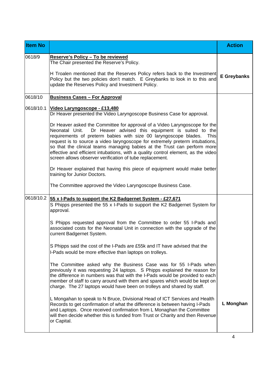| <b>Item No</b> |                                                                                                                                                                                                                                                                                                                                                                                                                                                                                                                                                                                                                                                                                                                                                                                                                                          | <b>Action</b>      |
|----------------|------------------------------------------------------------------------------------------------------------------------------------------------------------------------------------------------------------------------------------------------------------------------------------------------------------------------------------------------------------------------------------------------------------------------------------------------------------------------------------------------------------------------------------------------------------------------------------------------------------------------------------------------------------------------------------------------------------------------------------------------------------------------------------------------------------------------------------------|--------------------|
| 0618/9         | Reserve's Policy - To be reviewed<br>The Chair presented the Reserve's Policy.<br>H Troalen mentioned that the Reserves Policy refers back to the Investment<br>Policy but the two policies don't match. E Greybanks to look in to this and                                                                                                                                                                                                                                                                                                                                                                                                                                                                                                                                                                                              | <b>E</b> Greybanks |
| 0618/10        | update the Reserves Policy and Investment Policy.<br><b>Business Cases - For Approval</b>                                                                                                                                                                                                                                                                                                                                                                                                                                                                                                                                                                                                                                                                                                                                                |                    |
| 0618/10.1      | Video Laryngoscope - £13,480<br>Dr Heaver presented the Video Laryngoscope Business Case for approval.<br>Dr Heaver asked the Committee for approval of a Video Laryngoscope for the<br>Dr Heaver advised this equipment is suited to the<br>Neonatal Unit.<br>requirements of preterm babies with size 00 laryngoscope blades.<br><b>This</b><br>request is to source a video laryngoscope for extremely preterm intubations,<br>so that the clinical teams managing babies at the Trust can perform more<br>effective and efficient intubations, with a quality control element, as the video<br>screen allows observer verification of tube replacement.<br>Dr Heaver explained that having this piece of equipment would make better<br>training for Junior Doctors.<br>The Committee approved the Video Laryngoscope Business Case. |                    |
| 0618/10.2      | 55 x I-Pads to support the K2 Badgernet System - £27,671                                                                                                                                                                                                                                                                                                                                                                                                                                                                                                                                                                                                                                                                                                                                                                                 |                    |
|                | S Phipps presented the 55 x I-Pads to support the K2 Badgernet System for<br>approval.<br>S Phipps requested approval from the Committee to order 55 I-Pads and                                                                                                                                                                                                                                                                                                                                                                                                                                                                                                                                                                                                                                                                          |                    |
|                | associated costs for the Neonatal Unit in connection with the upgrade of the<br>current Badgernet System.                                                                                                                                                                                                                                                                                                                                                                                                                                                                                                                                                                                                                                                                                                                                |                    |
|                | S Phipps said the cost of the I-Pads are £55k and IT have advised that the<br>I-Pads would be more effective than laptops on trolleys.                                                                                                                                                                                                                                                                                                                                                                                                                                                                                                                                                                                                                                                                                                   |                    |
|                | The Committee asked why the Business Case was for 55 I-Pads when<br>previously it was requesting 24 laptops. S Phipps explained the reason for<br>the difference in numbers was that with the I-Pads would be provided to each<br>member of staff to carry around with them and spares which would be kept on<br>charge. The 27 laptops would have been on trolleys and shared by staff.                                                                                                                                                                                                                                                                                                                                                                                                                                                 |                    |
|                | L Mongahan to speak to N Bruce, Divisional Head of ICT Services and Health<br>Records to get confirmation of what the difference is between having I-Pads<br>and Laptops. Once received confirmation from L Monaghan the Committee<br>will then decide whether this is funded from Trust or Charity and then Revenue<br>or Capital.                                                                                                                                                                                                                                                                                                                                                                                                                                                                                                      | L Monghan          |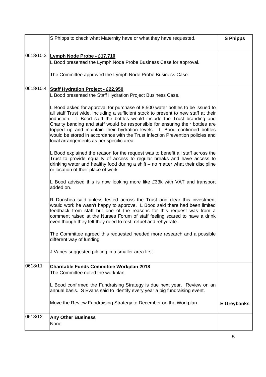|           | S Phipps to check what Maternity have or what they have requested.                                                                                                                                                                                                                                                                                                                                                                                                                                                                        | <b>S Phipps</b>    |
|-----------|-------------------------------------------------------------------------------------------------------------------------------------------------------------------------------------------------------------------------------------------------------------------------------------------------------------------------------------------------------------------------------------------------------------------------------------------------------------------------------------------------------------------------------------------|--------------------|
| 0618/10.3 | Lymph Node Probe - £17,710<br>L Bood presented the Lymph Node Probe Business Case for approval.                                                                                                                                                                                                                                                                                                                                                                                                                                           |                    |
|           | The Committee approved the Lymph Node Probe Business Case.                                                                                                                                                                                                                                                                                                                                                                                                                                                                                |                    |
| 0618/10.4 | <b>Staff Hydration Project - £22,950</b><br>L Bood presented the Staff Hydration Project Business Case.                                                                                                                                                                                                                                                                                                                                                                                                                                   |                    |
|           | L Bood asked for approval for purchase of 8,500 water bottles to be issued to<br>all staff Trust wide, including a sufficient stock to present to new staff at their<br>induction. L Bood said the bottles would include the Trust branding and<br>Charity banding and staff would be responsible for ensuring their bottles are<br>topped up and maintain their hydration levels. L Bood confirmed bottles<br>would be stored in accordance with the Trust Infection Prevention policies and<br>local arrangements as per specific area. |                    |
|           | L Bood explained the reason for the request was to benefit all staff across the<br>Trust to provide equality of access to regular breaks and have access to<br>drinking water and healthy food during a shift - no matter what their discipline<br>or location of their place of work.                                                                                                                                                                                                                                                    |                    |
|           | L Bood advised this is now looking more like £33k with VAT and transport<br>added on.                                                                                                                                                                                                                                                                                                                                                                                                                                                     |                    |
|           | R Dunshea said unless tested across the Trust and clear this investment<br>would work he wasn't happy to approve. L Bood said there had been limited<br>feedback from staff but one of the reasons for this request was from a<br>comment raised at the Nurses Forum of staff feeling scared to have a drink<br>even though they felt they need to rest, refuel and rehydrate.                                                                                                                                                            |                    |
|           | The Committee agreed this requested needed more research and a possible<br>different way of funding.                                                                                                                                                                                                                                                                                                                                                                                                                                      |                    |
|           | J Vanes suggested piloting in a smaller area first.                                                                                                                                                                                                                                                                                                                                                                                                                                                                                       |                    |
| 0618/11   | <b>Charitable Funds Committee Workplan 2018</b><br>The Committee noted the workplan.                                                                                                                                                                                                                                                                                                                                                                                                                                                      |                    |
|           | L Bood confirmed the Fundraising Strategy is due next year. Review on an<br>annual basis. S Evans said to identify every year a big fundraising event.                                                                                                                                                                                                                                                                                                                                                                                    |                    |
|           | Move the Review Fundraising Strategy to December on the Workplan.                                                                                                                                                                                                                                                                                                                                                                                                                                                                         | <b>E</b> Greybanks |
| 0618/12   | <b>Any Other Business</b><br>None                                                                                                                                                                                                                                                                                                                                                                                                                                                                                                         |                    |